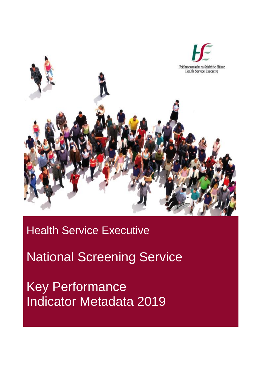

**Health Service Executive** 

National Screening Service

Key Performance Indicator Metadata 2019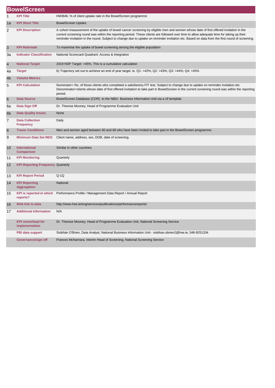|                | <b>BowelScreen</b>                          |                                                                                                                                                                                                                                                                                                                                                                                                                                    |  |  |
|----------------|---------------------------------------------|------------------------------------------------------------------------------------------------------------------------------------------------------------------------------------------------------------------------------------------------------------------------------------------------------------------------------------------------------------------------------------------------------------------------------------|--|--|
| 1              | <b>KPI Title</b>                            | HWB46-% of client uptake rate in the BowelScreen programme                                                                                                                                                                                                                                                                                                                                                                         |  |  |
| 1a             | <b>KPI Short Title</b>                      | <b>BowelScreen Uptake</b>                                                                                                                                                                                                                                                                                                                                                                                                          |  |  |
| 2              | <b>KPI Description</b>                      | A cohort measurement of the uptake of bowel cancer screening by eligible men and women whose date of first offered invitation in the<br>current screening round was within the reporting period. These clients are followed over time to allow adequate time for taking up their<br>reminder invitation in the round. Subject to change due to uptake on reminder invitation etc. Based on data from the first round of screening. |  |  |
| 3              | <b>KPI Rationale</b>                        | To maximise the uptake of bowel screening among the eligible population                                                                                                                                                                                                                                                                                                                                                            |  |  |
| Зa             | <b>Indicator Classification</b>             | National Scorecard Quadrant: Access & Integration                                                                                                                                                                                                                                                                                                                                                                                  |  |  |
| $\overline{4}$ | <b>National Target</b>                      | 2019 NSP Target: >45%. This is a cumulative calculation                                                                                                                                                                                                                                                                                                                                                                            |  |  |
| 4a             | <b>Target</b>                               | b) Trajectory set out to achieve an end of year target, ie. $Q1: >42\%$ ; $Q2: >43\%$ ; $Q3: >44\%$ ; $Q4: >45\%$                                                                                                                                                                                                                                                                                                                  |  |  |
| 4 <sub>b</sub> | <b>Volume Metrics</b>                       |                                                                                                                                                                                                                                                                                                                                                                                                                                    |  |  |
| 5              | <b>KPI Calculation</b>                      | Numerator= No. of those clients who completed a satisfactory FIT test. Subject to change due to uptake on reminder invitation etc.<br>Denominator=clients whose date of first offered invitation to take part in BowelScreen in the current screening round was within the reporting<br>period.                                                                                                                                    |  |  |
| 6              | <b>Data Source</b>                          | BowelScreen Database (COR) to the NBIU Business Information Unit via a cif template                                                                                                                                                                                                                                                                                                                                                |  |  |
| 6a             | Data Sign Off                               | Dr. Therese Mooney, Head of Programme Evaluation Unit                                                                                                                                                                                                                                                                                                                                                                              |  |  |
| 6 <sub>b</sub> | <b>Data Quality Issues</b>                  | None                                                                                                                                                                                                                                                                                                                                                                                                                               |  |  |
| 7              | <b>Data Collection</b><br><b>Frequency</b>  | Daily                                                                                                                                                                                                                                                                                                                                                                                                                              |  |  |
| 8              | <b>Tracer Conditions</b>                    | Men and women aged between 60 and 69 who have been invited to take part in the BowelScreen programme.                                                                                                                                                                                                                                                                                                                              |  |  |
| 9              | <b>Minimum Data Set MDS</b>                 | Client name, address, sex, DOB, date of screening.                                                                                                                                                                                                                                                                                                                                                                                 |  |  |
| 10             | International<br><b>Comparison</b>          | Similar in other countries                                                                                                                                                                                                                                                                                                                                                                                                         |  |  |
| 11             | <b>KPI Monitoring</b>                       | Quarterly                                                                                                                                                                                                                                                                                                                                                                                                                          |  |  |
| 12             | <b>KPI Reporting Frequency Quarterly</b>    |                                                                                                                                                                                                                                                                                                                                                                                                                                    |  |  |
| 13             | <b>KPI Report Period</b>                    | $Q-1Q$                                                                                                                                                                                                                                                                                                                                                                                                                             |  |  |
| 14             | <b>KPI Reporting</b><br><b>Aggregation</b>  | National                                                                                                                                                                                                                                                                                                                                                                                                                           |  |  |
| 15             | <b>KPI</b> is reported in which<br>reports? | Performance Profile / Management Data Report / Annual Report                                                                                                                                                                                                                                                                                                                                                                       |  |  |
| 16             | Web link to data                            | http://www.hse.ie/eng/services/publications/performancereports/                                                                                                                                                                                                                                                                                                                                                                    |  |  |
| 17             | <b>Additional Information</b>               | N/A                                                                                                                                                                                                                                                                                                                                                                                                                                |  |  |
|                | <b>KPI owner/lead for</b><br>implementation | Dr. Therese Mooney, Head of Programme Evaluation Unit, National Screening Service                                                                                                                                                                                                                                                                                                                                                  |  |  |
|                | PBI data support                            | Siobhán O'Brien, Data Analyst, National Business Information Unit - siobhan.obrien2@hse.ie, 046-9251334                                                                                                                                                                                                                                                                                                                            |  |  |
|                | Governance/sign off                         | Frances McNamara, Interim Head of Screening, National Screening Service                                                                                                                                                                                                                                                                                                                                                            |  |  |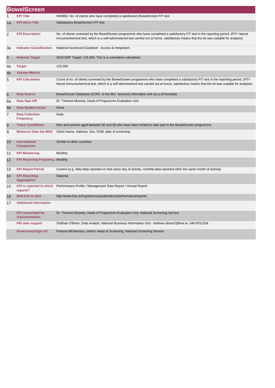|    | <b>BowelScreen</b>                          |                                                                                                                                                                                                                                                                                          |  |  |
|----|---------------------------------------------|------------------------------------------------------------------------------------------------------------------------------------------------------------------------------------------------------------------------------------------------------------------------------------------|--|--|
| 1  | <b>KPI Title</b>                            | HWB82- No. of clients who have completed a satisfactory BowelScreen FIT test                                                                                                                                                                                                             |  |  |
| 1a | <b>KPI Short Title</b>                      | Satisfactory BowelScreen FIT test                                                                                                                                                                                                                                                        |  |  |
| 2  | <b>KPI Description</b>                      | No. of clients screened by the BowelScreen programme who have completed a satisfactory FIT test in the reporting period. (FIT= faecal<br>immunochemical test, which is a self-administered test carried out at home, satisfactory means that the kit was suitable for analysis)          |  |  |
| За | <b>Indicator Classification</b>             | National Scorecard Quadrant: Access & Integration                                                                                                                                                                                                                                        |  |  |
| 4  | <b>National Target</b>                      | 2019 NSP Target: 125,000. This is a cumulative calculation                                                                                                                                                                                                                               |  |  |
| 4a | <b>Target</b>                               | 125,000                                                                                                                                                                                                                                                                                  |  |  |
| 4b | <b>Volume Metrics</b>                       |                                                                                                                                                                                                                                                                                          |  |  |
| 5  | <b>KPI Calculation</b>                      | Count of no. of clients screened by the BowelScreen programme who have completed a satisfactory FIT test in the reporting period. (FIT=<br>faecal immunochemical test, which is a self-administered test carried out at home, satisfactory means that the kit was suitable for analysis) |  |  |
| 6  | <b>Data Source</b>                          | BowelScreen Database (COR) to the BIU business infomation unit via a cif template                                                                                                                                                                                                        |  |  |
| 6a | Data Sign Off                               | Dr. Therese Mooney, Head of Programme Evaluation Unit                                                                                                                                                                                                                                    |  |  |
| 6b | <b>Data Quality Issues</b>                  | None                                                                                                                                                                                                                                                                                     |  |  |
| 7  | <b>Data Collection</b><br><b>Frequency</b>  | Daily                                                                                                                                                                                                                                                                                    |  |  |
| 8  | <b>Tracer Conditions</b>                    | Men and women aged between 60 and 69 who have been invited to take part in the BowelScreen programme                                                                                                                                                                                     |  |  |
| 9  | <b>Minimum Data Set MDS</b>                 | Client Name, Address, Sex, DOB, date of screening                                                                                                                                                                                                                                        |  |  |
| 10 | <b>International</b><br><b>Comparison</b>   | Similar in other countries                                                                                                                                                                                                                                                               |  |  |
| 11 | <b>KPI Monitoring</b>                       | Monthly                                                                                                                                                                                                                                                                                  |  |  |
| 12 | <b>KPI Reporting Frequency Monthly</b>      |                                                                                                                                                                                                                                                                                          |  |  |
| 13 | <b>KPI Report Period</b>                    | Current (e.g. daily data reported on that same day of activity, monthly data reported wihin the same month of activity)                                                                                                                                                                  |  |  |
| 14 | <b>KPI Reporting</b><br><b>Aggregation</b>  | National                                                                                                                                                                                                                                                                                 |  |  |
| 15 | <b>KPI</b> is reported in which<br>reports? | Performance Profile / Management Data Report / Annual Report                                                                                                                                                                                                                             |  |  |
| 16 | Web link to data                            | http://www.hse.ie/eng/services/publications/performancereports/                                                                                                                                                                                                                          |  |  |
| 17 | <b>Additional Information</b>               |                                                                                                                                                                                                                                                                                          |  |  |
|    | <b>KPI</b> owner/lead for<br>implementation | Dr. Therese Mooney, Head of Programme Evaluation Unit, National Screening Service                                                                                                                                                                                                        |  |  |
|    | PBI data support                            | Siobhán O'Brien, Data Analyst, National Business Information Unit - siobhan.obrien2@hse.ie, 046-9251334                                                                                                                                                                                  |  |  |
|    | Governance/sign off                         | Frances McNamara, Interim Head of Screening, National Screening Service                                                                                                                                                                                                                  |  |  |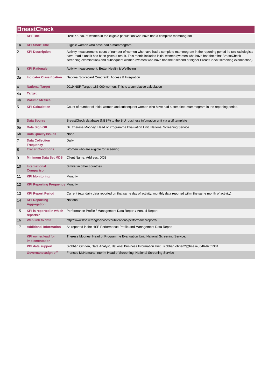|                | <b>BreastCheck</b>                          |                                                                                                                                                                                                                                                                                                                                                                                            |  |  |
|----------------|---------------------------------------------|--------------------------------------------------------------------------------------------------------------------------------------------------------------------------------------------------------------------------------------------------------------------------------------------------------------------------------------------------------------------------------------------|--|--|
| 1              | <b>KPI Title</b>                            | HWB77- No. of women in the eligible population who have had a complete mammogram                                                                                                                                                                                                                                                                                                           |  |  |
| 1a             | <b>KPI Short Title</b>                      | Eligible women who have had a mammogram                                                                                                                                                                                                                                                                                                                                                    |  |  |
| 2              | <b>KPI Description</b>                      | Activity measurement; count of number of women who have had a complete mammogram in the reporting period i.e two radiologists<br>have read it and it has been given a result. This metric includes initial women (women who have had their first BreastCheck<br>screening examination) and subsequent women (women who have had their second or higher BreastCheck screening examination). |  |  |
| 3              | <b>KPI Rationale</b>                        | Activity measurement: Better Health & Wellbeing                                                                                                                                                                                                                                                                                                                                            |  |  |
| 3a             | <b>Indicator Classification</b>             | National Scorecard Quadrant: Access & Integration                                                                                                                                                                                                                                                                                                                                          |  |  |
| $\overline{4}$ | <b>National Target</b>                      | 2019 NSP Target: 185,000 women. This is a cumulative calculation                                                                                                                                                                                                                                                                                                                           |  |  |
| 4a             | <b>Target</b>                               |                                                                                                                                                                                                                                                                                                                                                                                            |  |  |
| 4 <sub>b</sub> | <b>Volume Metrics</b>                       |                                                                                                                                                                                                                                                                                                                                                                                            |  |  |
| 5              | <b>KPI Calculation</b>                      | Count of number of initial women and subsequent women who have had a complete mammogram in the reporting period.                                                                                                                                                                                                                                                                           |  |  |
| 6              | <b>Data Source</b>                          | BreastCheck database (NBSP) to the BIU business infomation unit via a cif template                                                                                                                                                                                                                                                                                                         |  |  |
| 6а             | Data Sign Off                               | Dr. Therese Mooney, Head of Programme Evaluation Unit, National Screening Service                                                                                                                                                                                                                                                                                                          |  |  |
| 6 <sub>b</sub> | <b>Data Quality Issues</b>                  | None                                                                                                                                                                                                                                                                                                                                                                                       |  |  |
| 7              | <b>Data Collection</b><br><b>Frequency</b>  | Daily                                                                                                                                                                                                                                                                                                                                                                                      |  |  |
| 8              | <b>Tracer Conditions</b>                    | Women who are eligible for sceening.                                                                                                                                                                                                                                                                                                                                                       |  |  |
| 9              | <b>Minimum Data Set MDS</b>                 | Client Name, Address, DOB                                                                                                                                                                                                                                                                                                                                                                  |  |  |
| 10             | <b>International</b><br><b>Comparison</b>   | Similar in other countries                                                                                                                                                                                                                                                                                                                                                                 |  |  |
| 11             | <b>KPI Monitoring</b>                       | Monthly                                                                                                                                                                                                                                                                                                                                                                                    |  |  |
| 12             | <b>KPI Reporting Frequency Monthly</b>      |                                                                                                                                                                                                                                                                                                                                                                                            |  |  |
| 13             | <b>KPI Report Period</b>                    | Current (e.g. daily data reported on that same day of activity, monthly data reported wihin the same month of activity)                                                                                                                                                                                                                                                                    |  |  |
| 14             | <b>KPI Reporting</b><br><b>Aggregation</b>  | National                                                                                                                                                                                                                                                                                                                                                                                   |  |  |
| 15             | <b>KPI</b> is reported in which<br>reports? | Performance Profile / Management Data Report / Annual Report                                                                                                                                                                                                                                                                                                                               |  |  |
| 16             | Web link to data                            | http://www.hse.ie/eng/services/publications/performancereports/                                                                                                                                                                                                                                                                                                                            |  |  |
| 17             | <b>Additional Information</b>               | As reported in the HSE Performance Profile and Management Data Report                                                                                                                                                                                                                                                                                                                      |  |  |
|                | <b>KPI owner/lead for</b><br>implementation | Therese Mooney, Head of Programme Evanuation Unit, National Screening Service.                                                                                                                                                                                                                                                                                                             |  |  |
|                | <b>PBI data support</b>                     | Siobhán O'Brien, Data Analyst, National Business Information Unit : siobhan.obrien2@hse.ie, 046-9251334                                                                                                                                                                                                                                                                                    |  |  |
|                | Governance/sign off                         | Frances McNamara, Interim Head of Screening, National Screening Service                                                                                                                                                                                                                                                                                                                    |  |  |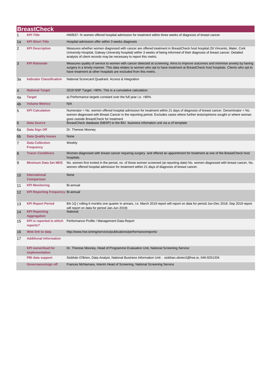|                | <b>BreastCheck</b>                          |                                                                                                                                                                                                                                                                                                                                           |  |  |
|----------------|---------------------------------------------|-------------------------------------------------------------------------------------------------------------------------------------------------------------------------------------------------------------------------------------------------------------------------------------------------------------------------------------------|--|--|
| 1              | <b>KPI Title</b>                            | HWB37- % women offered hospital admission for treatment within three weeks of diagnosis of breast cancer                                                                                                                                                                                                                                  |  |  |
| 1a             | <b>KPI Short Title</b>                      | Hospital admission offer within 3 weeks diagnosis                                                                                                                                                                                                                                                                                         |  |  |
| 2              | <b>KPI Description</b>                      | Measures whether women diagnosed with cancer are offered treatment in BreastCheck host hospital (St Vincents, Mater, Cork<br>University Hospital, Galway University hospital) within 3 weeks of being informed of their diagnosis of breast cancer. Detailed<br>analysis of client records may be necessary to report this metric.        |  |  |
| 3              | <b>KPI Rationale</b>                        | Measures quality of service to women with cancer detected at screening. Aims to improve outcomes and minimise anxiety by having<br>surgery in a timely manner. This data relates to women who opt to have treatment at BreastCheck host hospitals. Clients who opt to<br>have treatment at other hospitals are excluded from this metric. |  |  |
| За             | <b>Indicator Classification</b>             | National Scorecard Quadrant: Access & Integration                                                                                                                                                                                                                                                                                         |  |  |
| $\overline{4}$ | <b>National Target</b>                      | 2019 NSP Target: >90%. This is a cumulative calculation                                                                                                                                                                                                                                                                                   |  |  |
| 4a             | <b>Target</b>                               | a) Performance targets constant over the full year i.e. >90%                                                                                                                                                                                                                                                                              |  |  |
| 4 <sub>b</sub> | <b>Volume Metrics</b>                       | N/A                                                                                                                                                                                                                                                                                                                                       |  |  |
| 5              | <b>KPI Calculation</b>                      | Numerator = No. women offered hospital admission for treatment within 21 days of diagnosis of breast cancer. Denominator = No.<br>women diagnosed with Breast Cancer in the reporting period. Excludes cases where further tests/opinions sought or where woman<br>goes outside BreastCheck for treatment                                 |  |  |
| 6              | <b>Data Source</b>                          | BreastCheck database (NBSP) to the BIU business infomation unit via a cif template                                                                                                                                                                                                                                                        |  |  |
| 6a             | Data Sign Off                               | Dr. Therese Mooney                                                                                                                                                                                                                                                                                                                        |  |  |
| 6 <sub>b</sub> | <b>Data Quality Issues</b>                  | None                                                                                                                                                                                                                                                                                                                                      |  |  |
| 7              | <b>Data Collection</b><br><b>Frequency</b>  | Weekly                                                                                                                                                                                                                                                                                                                                    |  |  |
| 8              | <b>Tracer Conditions</b>                    | Women diagnosed with breast cancer requiring surgery and offered an appointment for treatment at one of the BreastCheck host<br>hospitals.                                                                                                                                                                                                |  |  |
| 9              | <b>Minimum Data Set MDS</b>                 | No. women first invited in the period, no. of those women screened (at reporting date) No. women diagnosed with breast cancer, No.<br>women offered hospital admission for treatment within 21 days of diagnosis of breast cancer.                                                                                                        |  |  |
| 10             | <b>International</b><br><b>Comparison</b>   | None                                                                                                                                                                                                                                                                                                                                      |  |  |
| 11             | <b>KPI Monitoring</b>                       | Bi-annual                                                                                                                                                                                                                                                                                                                                 |  |  |
| 12             | <b>KPI Reporting Frequency Bi-annual</b>    |                                                                                                                                                                                                                                                                                                                                           |  |  |
| 13             | <b>KPI Report Period</b>                    | BA-1Q (rolling 6 months one quarter in arrears, i.e. March 2019 report will report on data for period Jun-Dec 2018; Sep 2019 report<br>will report on data for period Jan-Jun 2019)                                                                                                                                                       |  |  |
| 14             | <b>KPI Reporting</b><br><b>Aggregation</b>  | <b>National</b>                                                                                                                                                                                                                                                                                                                           |  |  |
| 15             | <b>KPI</b> is reported in which<br>reports? | Performance Profile / Management Data Report                                                                                                                                                                                                                                                                                              |  |  |
| 16             | Web link to data                            | http://www.hse.ie/eng/services/publications/performancereports/                                                                                                                                                                                                                                                                           |  |  |
| 17             | <b>Additional Information</b>               |                                                                                                                                                                                                                                                                                                                                           |  |  |
|                | <b>KPI owner/lead for</b><br>implementation | Dr. Therese Mooney, Head of Programme Evaluation Unit, National Screening Service                                                                                                                                                                                                                                                         |  |  |
|                | PBI data support                            | Siobhán O'Brien, Data Analyst, National Business Information Unit - siobhan.obrien2@hse.ie, 046-9251334                                                                                                                                                                                                                                   |  |  |
|                | Governance/sign off                         | Frances McNamara, Interim Head of Screening, National Screening Service                                                                                                                                                                                                                                                                   |  |  |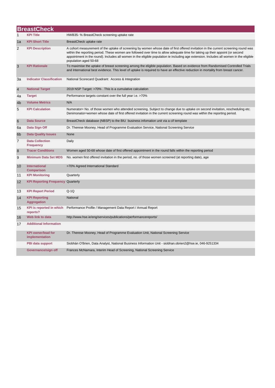|                | <b>BreastCheck</b>                          |                                                                                                                                                                                                                                                                                                                                                                                                                                         |  |  |
|----------------|---------------------------------------------|-----------------------------------------------------------------------------------------------------------------------------------------------------------------------------------------------------------------------------------------------------------------------------------------------------------------------------------------------------------------------------------------------------------------------------------------|--|--|
| 1              | KPI Title                                   | HWB35- % BreastCheck screening uptake rate                                                                                                                                                                                                                                                                                                                                                                                              |  |  |
| 1a             | <b>KPI Short Title</b>                      | BreastCheck uptake rate                                                                                                                                                                                                                                                                                                                                                                                                                 |  |  |
| 2              | <b>KPI Description</b>                      | A cohort measurement of the uptake of screening by women whose date of first offered invitation in the current screening round was<br>within the reporting period. These women are followed over time to allow adequate time for taking up their appoint (or second<br>appointment in the round). Includes all women in the eligible population ie including age extension. Includes all women in the eligible<br>population aged 50-68 |  |  |
| 3              | <b>KPI Rationale</b>                        | To maximise the uptake of breast screening among the eligible population. Based on evidence from Randomised Controlled Trials<br>and International best evidence. This level of uptake is required to have an effective reduction in mortality from breast cancer.                                                                                                                                                                      |  |  |
| За             | <b>Indicator Classification</b>             | National Scorecard Quadrant: Access & Integration                                                                                                                                                                                                                                                                                                                                                                                       |  |  |
| $\overline{4}$ | <b>National Target</b>                      | 2019 NSP Target: >70% . This is a cumulative calculation                                                                                                                                                                                                                                                                                                                                                                                |  |  |
| 4a             | <b>Target</b>                               | Performance targets constant over the full year i.e. >70%                                                                                                                                                                                                                                                                                                                                                                               |  |  |
| 4 <sub>b</sub> | <b>Volume Metrics</b>                       | N/A                                                                                                                                                                                                                                                                                                                                                                                                                                     |  |  |
| 5              | <b>KPI Calculation</b>                      | Numerator= No. of those women who attended screening. Subject to change due to uptake on second invitation, rescheduling etc.<br>Denimonator=women whose date of first offered invitation in the current screening round was within the reporting period.                                                                                                                                                                               |  |  |
| 6              | <b>Data Source</b>                          | BreastCheck database (NBSP) to the BIU business infomation unit via a cif template                                                                                                                                                                                                                                                                                                                                                      |  |  |
| 6a             | Data Sign Off                               | Dr. Therese Mooney, Head of Programme Evaluation Service, National Screening Service                                                                                                                                                                                                                                                                                                                                                    |  |  |
| 6 <sub>b</sub> | <b>Data Quality Issues</b>                  | None                                                                                                                                                                                                                                                                                                                                                                                                                                    |  |  |
| $\overline{7}$ | <b>Data Collection</b><br><b>Frequency</b>  | Daily                                                                                                                                                                                                                                                                                                                                                                                                                                   |  |  |
| 8              | <b>Tracer Conditions</b>                    | Women aged 50-68 whose date of first offered appointment in the round falls within the reporting period                                                                                                                                                                                                                                                                                                                                 |  |  |
| 9              | <b>Minimum Data Set MDS</b>                 | No. women first offered invitation in the period, no. of those women screened (at reporting date), age                                                                                                                                                                                                                                                                                                                                  |  |  |
| 10             | International<br><b>Comparison</b>          | >70% Agreed International Standard                                                                                                                                                                                                                                                                                                                                                                                                      |  |  |
| 11             | <b>KPI Monitoring</b>                       | Quarterly                                                                                                                                                                                                                                                                                                                                                                                                                               |  |  |
| 12             | <b>KPI Reporting Frequency Quarterly</b>    |                                                                                                                                                                                                                                                                                                                                                                                                                                         |  |  |
| 13             | <b>KPI Report Period</b>                    | $Q-1Q$                                                                                                                                                                                                                                                                                                                                                                                                                                  |  |  |
| 14             | <b>KPI Reporting</b><br><b>Aggregation</b>  | National                                                                                                                                                                                                                                                                                                                                                                                                                                |  |  |
| 15             | <b>KPI</b> is reported in which<br>reports? | Performance Profile / Management Data Report / Annual Report                                                                                                                                                                                                                                                                                                                                                                            |  |  |
| 16             | Web link to data                            | http://www.hse.ie/eng/services/publications/performancereports/                                                                                                                                                                                                                                                                                                                                                                         |  |  |
| 17             | <b>Additional Information</b>               |                                                                                                                                                                                                                                                                                                                                                                                                                                         |  |  |
|                | <b>KPI owner/lead for</b><br>implementation | Dr. Therese Mooney, Head of Programme Evaluation Unit, National Screening Service                                                                                                                                                                                                                                                                                                                                                       |  |  |
|                | <b>PBI data support</b>                     | Siobhán O'Brien, Data Analyst, National Business Information Unit - siobhan.obrien2@hse.ie, 046-9251334                                                                                                                                                                                                                                                                                                                                 |  |  |
|                | Governance/sign off                         | Frances McNamara, Interim Head of Screening, National Screening Service                                                                                                                                                                                                                                                                                                                                                                 |  |  |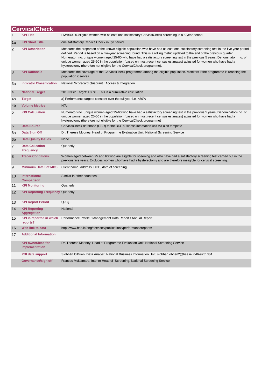|                | <b>CervicalCheck</b>                        |                                                                                                                                                                                                                                                                                                                                                                                                                                                                                                                                                                                                           |
|----------------|---------------------------------------------|-----------------------------------------------------------------------------------------------------------------------------------------------------------------------------------------------------------------------------------------------------------------------------------------------------------------------------------------------------------------------------------------------------------------------------------------------------------------------------------------------------------------------------------------------------------------------------------------------------------|
|                | <b>KPI Title</b>                            | HWB40- % eligible women with at least one satisfactory CervicalCheck screening in a 5-year period                                                                                                                                                                                                                                                                                                                                                                                                                                                                                                         |
| 1a             | <b>KPI Short Title</b>                      | one satisfactory CervicalCheck in 5yr period                                                                                                                                                                                                                                                                                                                                                                                                                                                                                                                                                              |
| $\overline{2}$ | <b>KPI Description</b>                      | Measures the proportion of the known eligible population who have had at least one satisfactory screening test in the five year period<br>defined. Period is based on a five-year screening round. This is a rolling metric updated to the end of the previous quarter.<br>Numerator=no. unique women aged 25-60 who have had a satisfactory screening test in the previous 5 years, Denominator= no. of<br>unique women aged 25-60 in the population (based on most recent census estimates) adjusted for women who have had a<br>hysterectomy (therefore not eligible for the CervicalCheck programme). |
| 3              | <b>KPI Rationale</b>                        | Measures the coverage of the CervicalCheck programme among the eligible population. Monitors if the programme is reaching the<br>population it serves.                                                                                                                                                                                                                                                                                                                                                                                                                                                    |
| 3a             | <b>Indicator Classification</b>             | National Scorecard Quadrant : Access & Integration                                                                                                                                                                                                                                                                                                                                                                                                                                                                                                                                                        |
| $\overline{4}$ | <b>National Target</b>                      | 2019 NSP Target: >80% . This is a cumulative calculation                                                                                                                                                                                                                                                                                                                                                                                                                                                                                                                                                  |
| 4a             | <b>Target</b>                               | a) Performance targets constant over the full year i.e. >80%                                                                                                                                                                                                                                                                                                                                                                                                                                                                                                                                              |
| 4 <sub>b</sub> | <b>Volume Metrics</b>                       | N/A                                                                                                                                                                                                                                                                                                                                                                                                                                                                                                                                                                                                       |
| 5              | <b>KPI Calculation</b>                      | Numerator=no. unique women aged 25-60 who have had a satisfactory screening test in the previous 5 years, Denominator= no. of<br>unique women aged 25-60 in the population (based on most recent census estimates) adjusted for women who have had a<br>hysterectomy (therefore not eligible for the CervicalCheck programme)                                                                                                                                                                                                                                                                             |
| 6              | <b>Data Source</b>                          | CervicalCheck database (CSR) to the BIU business infomation unit via a cif template                                                                                                                                                                                                                                                                                                                                                                                                                                                                                                                       |
| 6a             | Data Sign Off                               | Dr. Therese Mooney, Head of Programme Evaluation Unit, National Screening Service                                                                                                                                                                                                                                                                                                                                                                                                                                                                                                                         |
| 6 <sub>b</sub> | <b>Data Quality Issues</b>                  | None                                                                                                                                                                                                                                                                                                                                                                                                                                                                                                                                                                                                      |
| 7              | <b>Data Collection</b><br><b>Frequency</b>  | Quarterly                                                                                                                                                                                                                                                                                                                                                                                                                                                                                                                                                                                                 |
| 8              | <b>Tracer Conditions</b>                    | Women aged between 25 and 60 who are eligible for sceening and who have had a satisfactory screening test carried out in the<br>previous five years. Excludes women who have had a hysterectomy and are therefore ineligible for cervical screening.                                                                                                                                                                                                                                                                                                                                                      |
| 9              | <b>Minimum Data Set MDS</b>                 | Client name, address, DOB, date of screening.                                                                                                                                                                                                                                                                                                                                                                                                                                                                                                                                                             |
| 10             | International<br><b>Comparison</b>          | Similar in other countries                                                                                                                                                                                                                                                                                                                                                                                                                                                                                                                                                                                |
| 11             | <b>KPI Monitoring</b>                       | Quarterly                                                                                                                                                                                                                                                                                                                                                                                                                                                                                                                                                                                                 |
| 12             | <b>KPI Reporting Frequency Quarterly</b>    |                                                                                                                                                                                                                                                                                                                                                                                                                                                                                                                                                                                                           |
| 13             | <b>KPI Report Period</b>                    | $Q-1Q$                                                                                                                                                                                                                                                                                                                                                                                                                                                                                                                                                                                                    |
| 14             | <b>KPI Reporting</b><br><b>Aggregation</b>  | <b>National</b>                                                                                                                                                                                                                                                                                                                                                                                                                                                                                                                                                                                           |
| 15             | <b>KPI is reported in which</b><br>reports? | Performance Profile / Management Data Report / Annual Report                                                                                                                                                                                                                                                                                                                                                                                                                                                                                                                                              |
| 16             | <b>Web link to data</b>                     | http://www.hse.ie/eng/services/publications/performancereports/                                                                                                                                                                                                                                                                                                                                                                                                                                                                                                                                           |
| 17             | <b>Additional Information</b>               |                                                                                                                                                                                                                                                                                                                                                                                                                                                                                                                                                                                                           |
|                | <b>KPI owner/lead for</b><br>implementation | Dr. Therese Mooney, Head of Programme Evaluation Unit, National Screening Service                                                                                                                                                                                                                                                                                                                                                                                                                                                                                                                         |
|                | <b>PBI data support</b>                     | Siobhán O'Brien, Data Analyst, National Business Information Unit, siobhan.obrien2@hse.ie, 046-9251334                                                                                                                                                                                                                                                                                                                                                                                                                                                                                                    |
|                | Governance/sign off                         | Frances McNamara, Interim Head of Screening, National Screening Service                                                                                                                                                                                                                                                                                                                                                                                                                                                                                                                                   |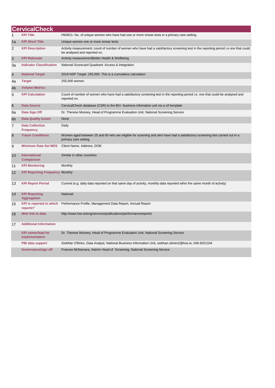|                | <b>CervicalCheck</b>                        |                                                                                                                                                                      |
|----------------|---------------------------------------------|----------------------------------------------------------------------------------------------------------------------------------------------------------------------|
| 1              | <b>KPI Title</b>                            | HWB21- No. of unique women who have had one or more smear tests in a primary care setting.                                                                           |
| 1a             | <b>KPI Short Title</b>                      | Unique women one or more smear tests                                                                                                                                 |
| 2              | <b>KPI Description</b>                      | Activity measurement; count of number of women who have had a satisfactory screening test in the reporting period i.e one that could<br>be analysed and reported on. |
| 3              | <b>KPI Rationale</b>                        | Activity measurementBetter Health & Wellbeing                                                                                                                        |
| За             | <b>Indicator Classification</b>             | National Scorecard Quadrant: Access & Integration                                                                                                                    |
| $\overline{4}$ | <b>National Target</b>                      | 2019 NSP Target: 255,000. This is a cumulative calculation                                                                                                           |
| 4a             | <b>Target</b>                               | 255,000 women                                                                                                                                                        |
| 4 <sub>b</sub> | <b>Volume Metrics</b>                       |                                                                                                                                                                      |
| 5              | <b>KPI Calculation</b>                      | Count of number of women who have had a satisfactory screening test in the reporting period i.e. one that could be analysed and<br>reported on.                      |
| 6              | <b>Data Source</b>                          | CervicalCheck database (CSR) to the BIU business infomation unit via a cif template                                                                                  |
| 6a             | Data Sign Off                               | Dr. Therese Mooney, Head of Programme Evaluation Unit, National Screening Service                                                                                    |
| 6 <sub>b</sub> | <b>Data Quality Issues</b>                  | None                                                                                                                                                                 |
| $\overline{7}$ | <b>Data Collection</b><br><b>Frequency</b>  | Daily                                                                                                                                                                |
| 8              | <b>Tracer Conditions</b>                    | Women aged between 25 and 60 who are eligible for sceening and who have had a satisfactory screening test carried out in a<br>primary care setting                   |
| 9              | <b>Minimum Data Set MDS</b>                 | Client Name, Address, DOB                                                                                                                                            |
| 10             | <b>International</b><br><b>Comparison</b>   | Similar in other countries                                                                                                                                           |
| 11             | <b>KPI Monitoring</b>                       | Monthly                                                                                                                                                              |
| 12             | <b>KPI Reporting Frequency Monthly</b>      |                                                                                                                                                                      |
| 13             | <b>KPI Report Period</b>                    | Current (e.g. daily data reported on that same day of activity, monthly data reported wihin the same month of activity)                                              |
| 14             | <b>KPI Reporting</b><br><b>Aggregation</b>  | National                                                                                                                                                             |
| 15             | <b>KPI</b> is reported in which<br>reports? | Performance Profile, Management Data Report, Annual Report                                                                                                           |
| 16             | Web link to data                            | http://www.hse.ie/eng/services/publications/performancereports/                                                                                                      |
| 17             | <b>Additional Information</b>               |                                                                                                                                                                      |
|                | <b>KPI owner/lead for</b><br>implementation | Dr. Therese Mooney, Head of Programme Evaluation Unit, National Screening Service                                                                                    |
|                | PBI data support                            | Siobhán O'Brien, Data Analyst, National Business Information Unit, siobhan obrien 2@hse.ie, 046-9251334                                                              |
|                | Governance/sign off                         | Frances McNamara, Interim Head of Screening, National Screening Service                                                                                              |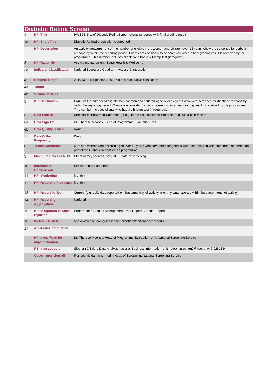|                | <b>Diabetic Retina Screen</b>               |                                                                                                                                                                                                                                                                                                                                           |
|----------------|---------------------------------------------|-------------------------------------------------------------------------------------------------------------------------------------------------------------------------------------------------------------------------------------------------------------------------------------------------------------------------------------------|
|                | <b>KPI Title</b>                            | HWB23- No. of Diabetic RetinaScreen clients screened with final grading result                                                                                                                                                                                                                                                            |
| 1a             | <b>KPI Short Title</b>                      | Diabetic RetinaScreen clients screened                                                                                                                                                                                                                                                                                                    |
| $\overline{2}$ | <b>KPI Description</b>                      | An activity measurement of the number of eligible men, women and children over 12 years who were screened for diabetic<br>retinopathy within the reporting period. Clients are considerd to be screened when a final grading result is received by the<br>programme. This number includes clients who had a slit-lamp test (if required). |
| 3              | <b>KPI Rationale</b>                        | Activity measurement: Better Health & Wellbeing                                                                                                                                                                                                                                                                                           |
| За             | <b>Indicator Classification</b>             | National Scorecard Quadrant: Access & Integration                                                                                                                                                                                                                                                                                         |
| $\overline{4}$ | <b>National Target</b>                      | 2019 NSP Target: 104,000. This is a cumulative calculation                                                                                                                                                                                                                                                                                |
| 4a             | <b>Target</b>                               |                                                                                                                                                                                                                                                                                                                                           |
| 4 <sub>b</sub> | <b>Volume Metrics</b>                       |                                                                                                                                                                                                                                                                                                                                           |
| 5              | <b>KPI Calculation</b>                      | Count of the number of eligible men, women and children aged over 12 years who were screened for diabhetic retinopathy<br>within the reporting period. Clients are considerd to be screened when a final grading result is received by the programme.<br>This number includes clients who had a slit-lamp test (if required).             |
| 6              | <b>Data Source</b>                          | DiabeticRetinaScreen Database (DRS) to the BIU business information unit via a cif template                                                                                                                                                                                                                                               |
| 6a             | Data Sign Off                               | Dr. Therese Mooney, Head of Programme Evaluation Unit                                                                                                                                                                                                                                                                                     |
| 6 <sub>b</sub> | <b>Data Quality Issues</b>                  | None                                                                                                                                                                                                                                                                                                                                      |
| 7              | <b>Data Collection</b><br><b>Frequency</b>  | Daily                                                                                                                                                                                                                                                                                                                                     |
| 8              | <b>Tracer Conditions</b>                    | Men and women and children aged over 12 years who have been diagnosed with diabetes and who have been screened as<br>part of the DiabeticRetinaScreen programme.                                                                                                                                                                          |
| 9              | <b>Minimum Data Set MDS</b>                 | Client name, address, sex, DOB, date of screening.                                                                                                                                                                                                                                                                                        |
| 10             | International<br><b>Comparison</b>          | Similar in other countries                                                                                                                                                                                                                                                                                                                |
| 11             | <b>KPI Monitoring</b>                       | Monthly                                                                                                                                                                                                                                                                                                                                   |
| 12             | <b>KPI Reporting Frequency Monthly</b>      |                                                                                                                                                                                                                                                                                                                                           |
| 13             | <b>KPI Report Period</b>                    | Current (e.g. daily data reported on that same day of activity, monthly data reported wihin the same month of activity)                                                                                                                                                                                                                   |
| 14             | <b>KPI Reporting</b><br><b>Aggregation</b>  | National                                                                                                                                                                                                                                                                                                                                  |
| 15             | <b>KPI</b> is reported in which<br>reports? | Performance Profile / Management Data Report / Annual Report                                                                                                                                                                                                                                                                              |
| 16             | Web link to data                            | http://www.hse.ie/eng/services/publications/performancereports/                                                                                                                                                                                                                                                                           |
| 17             | <b>Additional Information</b>               |                                                                                                                                                                                                                                                                                                                                           |
|                | <b>KPI owner/lead for</b><br>implementation | Dr. Therese Mooney, Head of Programme Evaluation Unit, National Screening Service                                                                                                                                                                                                                                                         |
|                | PBI data support                            | Siobhán O'Brien, Data Analyst, National Business Information Unit - siobhan.obrien2@hse.ie, 046-9251334                                                                                                                                                                                                                                   |
|                | Governance/sign off                         | Frances McNamara, Interim Head of Screening, National Screening Service                                                                                                                                                                                                                                                                   |